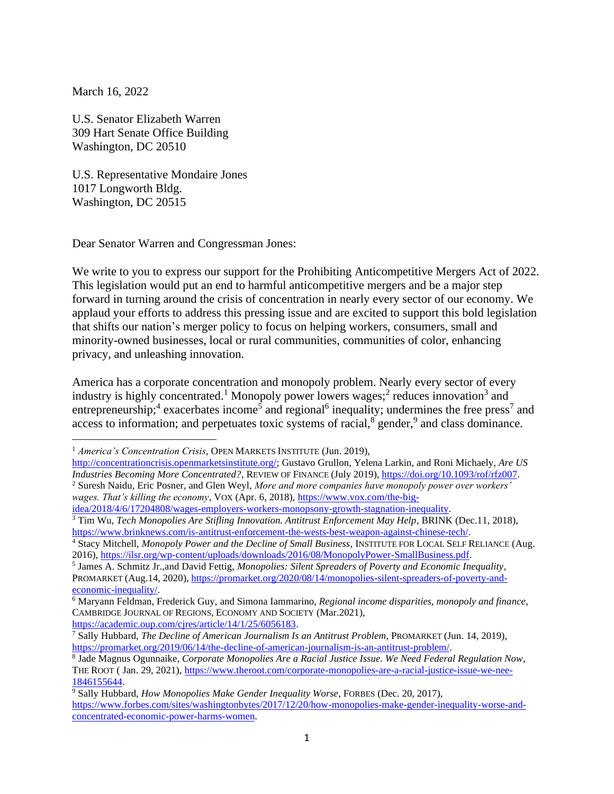March 16, 2022

U.S. Senator Elizabeth Warren 309 Hart Senate Office Building Washington, DC 20510

U.S. Representative Mondaire Jones 1017 Longworth Bldg. Washington, DC 20515

Dear Senator Warren and Congressman Jones:

We write to you to express our support for the Prohibiting Anticompetitive Mergers Act of 2022. This legislation would put an end to harmful anticompetitive mergers and be a major step forward in turning around the crisis of concentration in nearly every sector of our economy. We applaud your efforts to address this pressing issue and are excited to support this bold legislation that shifts our nation's merger policy to focus on helping workers, consumers, small and minority-owned businesses, local or rural communities, communities of color, enhancing privacy, and unleashing innovation.

America has a corporate concentration and monopoly problem. Nearly every sector of every industry is highly concentrated.<sup>1</sup> Monopoly power lowers wages;<sup>2</sup> reduces innovation<sup>3</sup> and entrepreneurship;<sup>4</sup> exacerbates income<sup>5</sup> and regional<sup>6</sup> inequality; undermines the free press<sup>7</sup> and access to information; and perpetuates toxic systems of racial,<sup>8</sup> gender,<sup>9</sup> and class dominance.

*wages. That's killing the economy*, VOX (Apr. 6, 2018), [https://www.vox.com/the-big](https://www.vox.com/the-big-idea/2018/4/6/17204808/wages-employers-workers-monopsony-growth-stagnation-inequality)[idea/2018/4/6/17204808/wages-employers-workers-monopsony-growth-stagnation-inequality.](https://www.vox.com/the-big-idea/2018/4/6/17204808/wages-employers-workers-monopsony-growth-stagnation-inequality)

[https://academic.oup.com/cjres/article/14/1/25/6056183.](https://academic.oup.com/cjres/article/14/1/25/6056183)

<sup>&</sup>lt;sup>1</sup> *America's Concentration Crisis*, OPEN MARKETS INSTITUTE (Jun. 2019),

[http://concentrationcrisis.openmarketsinstitute.org/;](http://concentrationcrisis.openmarketsinstitute.org/) Gustavo Grullon, Yelena Larkin, and Roni Michaely, *Are US Industries Becoming More Concentrated?*, REVIEW OF FINANCE (July 2019), [https://doi.org/10.1093/rof/rfz007.](https://doi.org/10.1093/rof/rfz007) <sup>2</sup> Suresh Naidu, Eric Posner, and Glen Weyl, *More and more companies have monopoly power over workers'* 

<sup>&</sup>lt;sup>3</sup> Tim Wu, *Tech Monopolies Are Stifling Innovation. Antitrust Enforcement May Help*, BRINK (Dec.11, 2018), [https://www.brinknews.com/is-antitrust-enforcement-the-wests-best-weapon-against-chinese-tech/.](https://www.brinknews.com/is-antitrust-enforcement-the-wests-best-weapon-against-chinese-tech/)

<sup>4</sup> Stacy Mitchell, *Monopoly Power and the Decline of Small Business*, INSTITUTE FOR LOCAL SELF RELIANCE (Aug. 2016), [https://ilsr.org/wp-content/uploads/downloads/2016/08/MonopolyPower-SmallBusiness.pdf.](https://ilsr.org/wp-content/uploads/downloads/2016/08/MonopolyPower-SmallBusiness.pdf)

<sup>5</sup> James A. Schmitz Jr.,and David Fettig, *Monopolies: Silent Spreaders of Poverty and Economic Inequality*, PROMARKET (Aug.14, 2020), [https://promarket.org/2020/08/14/monopolies-silent-spreaders-of-poverty-and](https://promarket.org/2020/08/14/monopolies-silent-spreaders-of-poverty-and-economic-inequality/)[economic-inequality/.](https://promarket.org/2020/08/14/monopolies-silent-spreaders-of-poverty-and-economic-inequality/)

<sup>6</sup> Maryann Feldman, Frederick Guy, and Simona Iammarino, *Regional income disparities, monopoly and finance*, CAMBRIDGE JOURNAL OF REGIONS, ECONOMY AND SOCIETY (Mar.2021),

<sup>7</sup> Sally Hubbard, *The Decline of American Journalism Is an Antitrust Problem*, PROMARKET (Jun. 14, 2019), [https://promarket.org/2019/06/14/the-decline-of-american-journalism-is-an-antitrust-problem/.](https://promarket.org/2019/06/14/the-decline-of-american-journalism-is-an-antitrust-problem/) 

<sup>8</sup> Jade Magnus Ogunnaike, *Corporate Monopolies Are a Racial Justice Issue. We Need Federal Regulation Now*, THE ROOT ( Jan. 29, 2021), [https://www.theroot.com/corporate-monopolies-are-a-racial-justice-issue-we-nee-](https://www.theroot.com/corporate-monopolies-are-a-racial-justice-issue-we-nee-1846155644)[1846155644.](https://www.theroot.com/corporate-monopolies-are-a-racial-justice-issue-we-nee-1846155644)

<sup>9</sup> Sally Hubbard, *How Monopolies Make Gender Inequality Worse*, FORBES (Dec. 20, 2017), [https://www.forbes.com/sites/washingtonbytes/2017/12/20/how-monopolies-make-gender-inequality-worse-and](https://www.forbes.com/sites/washingtonbytes/2017/12/20/how-monopolies-make-gender-inequality-worse-and-concentrated-economic-power-harms-women)[concentrated-economic-power-harms-women.](https://www.forbes.com/sites/washingtonbytes/2017/12/20/how-monopolies-make-gender-inequality-worse-and-concentrated-economic-power-harms-women)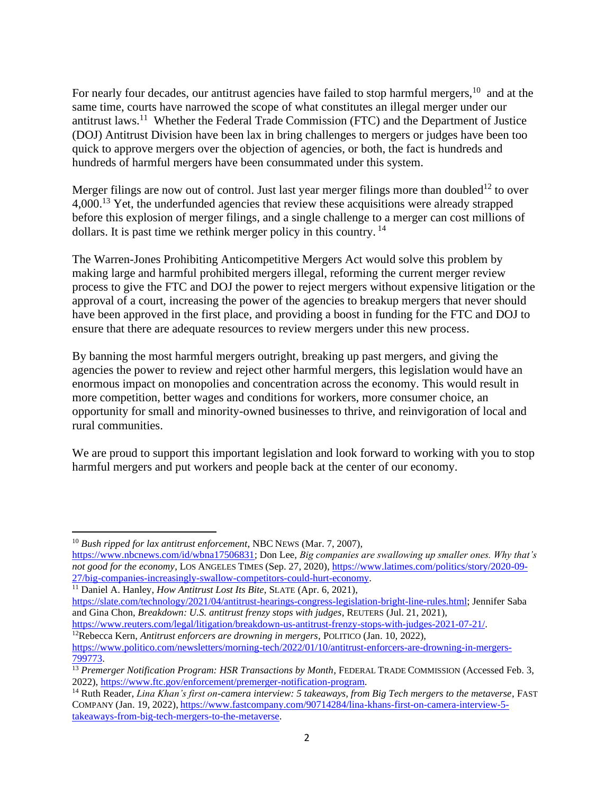For nearly four decades, our antitrust agencies have failed to stop harmful mergers,<sup>10</sup> and at the same time, courts have narrowed the scope of what constitutes an illegal merger under our antitrust laws.<sup>11</sup> Whether the Federal Trade Commission (FTC) and the Department of Justice (DOJ) Antitrust Division have been lax in bring challenges to mergers or judges have been too quick to approve mergers over the objection of agencies, or both, the fact is hundreds and hundreds of harmful mergers have been consummated under this system.

Merger filings are now out of control. Just last year merger filings more than doubled<sup>12</sup> to over 4,000.<sup>13</sup> Yet, the underfunded agencies that review these acquisitions were already strapped before this explosion of merger filings, and a single challenge to a merger can cost millions of dollars. It is past time we rethink merger policy in this country. <sup>14</sup>

The Warren-Jones Prohibiting Anticompetitive Mergers Act would solve this problem by making large and harmful prohibited mergers illegal, reforming the current merger review process to give the FTC and DOJ the power to reject mergers without expensive litigation or the approval of a court, increasing the power of the agencies to breakup mergers that never should have been approved in the first place, and providing a boost in funding for the FTC and DOJ to ensure that there are adequate resources to review mergers under this new process.

By banning the most harmful mergers outright, breaking up past mergers, and giving the agencies the power to review and reject other harmful mergers, this legislation would have an enormous impact on monopolies and concentration across the economy. This would result in more competition, better wages and conditions for workers, more consumer choice, an opportunity for small and minority-owned businesses to thrive, and reinvigoration of local and rural communities.

We are proud to support this important legislation and look forward to working with you to stop harmful mergers and put workers and people back at the center of our economy.

[https://www.nbcnews.com/id/wbna17506831;](https://www.nbcnews.com/id/wbna17506831) Don Lee, *Big companies are swallowing up smaller ones. Why that's not good for the economy*, LOS ANGELES TIMES (Sep. 27, 2020), [https://www.latimes.com/politics/story/2020-09-](https://www.latimes.com/politics/story/2020-09-27/big-companies-increasingly-swallow-competitors-could-hurt-economy) [27/big-companies-increasingly-swallow-competitors-could-hurt-economy.](https://www.latimes.com/politics/story/2020-09-27/big-companies-increasingly-swallow-competitors-could-hurt-economy)

<sup>11</sup> Daniel A. Hanley, *How Antitrust Lost Its Bite*, SLATE (Apr. 6, 2021),

<sup>10</sup> *Bush ripped for lax antitrust enforcement*, NBC NEWS (Mar. 7, 2007),

[https://slate.com/technology/2021/04/antitrust-hearings-congress-legislation-bright-line-rules.html;](https://slate.com/technology/2021/04/antitrust-hearings-congress-legislation-bright-line-rules.html) Jennifer Saba and Gina Chon, *Breakdown: U.S. antitrust frenzy stops with judges*, REUTERS (Jul. 21, 2021),

[https://www.reuters.com/legal/litigation/breakdown-us-antitrust-frenzy-stops-with-judges-2021-07-21/.](https://www.reuters.com/legal/litigation/breakdown-us-antitrust-frenzy-stops-with-judges-2021-07-21/)

<sup>12</sup>Rebecca Kern, *Antitrust enforcers are drowning in mergers*, POLITICO (Jan. 10, 2022),

[https://www.politico.com/newsletters/morning-tech/2022/01/10/antitrust-enforcers-are-drowning-in-mergers-](https://www.politico.com/newsletters/morning-tech/2022/01/10/antitrust-enforcers-are-drowning-in-mergers-799773)[799773.](https://www.politico.com/newsletters/morning-tech/2022/01/10/antitrust-enforcers-are-drowning-in-mergers-799773)

<sup>&</sup>lt;sup>13</sup> Premerger Notification Program: HSR Transactions by Month, FEDERAL TRADE COMMISSION (Accessed Feb. 3, 2022), [https://www.ftc.gov/enforcement/premerger-notification-program.](https://www.ftc.gov/enforcement/premerger-notification-program)

<sup>14</sup> Ruth Reader, *Lina Khan's first on-camera interview: 5 takeaways, from Big Tech mergers to the metaverse*, FAST COMPANY (Jan. 19, 2022), [https://www.fastcompany.com/90714284/lina-khans-first-on-camera-interview-5](https://www.fastcompany.com/90714284/lina-khans-first-on-camera-interview-5-takeaways-from-big-tech-mergers-to-the-metaverse) [takeaways-from-big-tech-mergers-to-the-metaverse.](https://www.fastcompany.com/90714284/lina-khans-first-on-camera-interview-5-takeaways-from-big-tech-mergers-to-the-metaverse)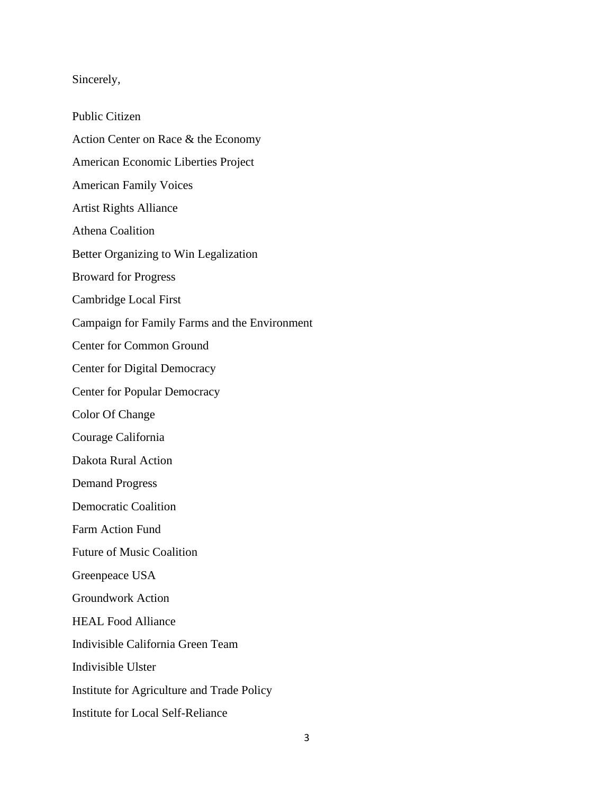## Sincerely,

Public Citizen Action Center on Race & the Economy American Economic Liberties Project American Family Voices Artist Rights Alliance Athena Coalition Better Organizing to Win Legalization Broward for Progress Cambridge Local First Campaign for Family Farms and the Environment Center for Common Ground Center for Digital Democracy Center for Popular Democracy Color Of Change Courage California Dakota Rural Action Demand Progress Democratic Coalition Farm Action Fund Future of Music Coalition Greenpeace USA Groundwork Action HEAL Food Alliance Indivisible California Green Team Indivisible Ulster Institute for Agriculture and Trade Policy Institute for Local Self-Reliance